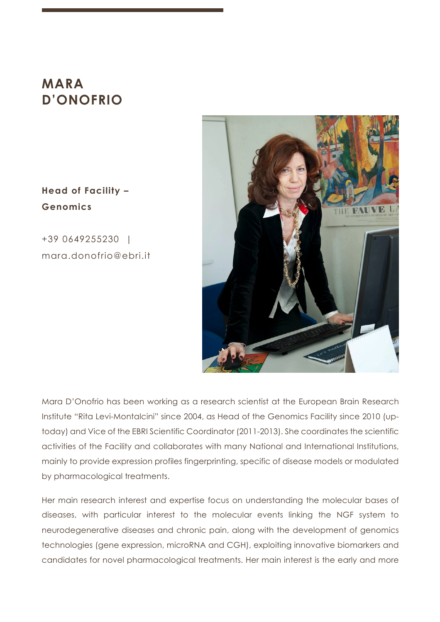# **MARA D'ONOFRIO**

# **Head of Facility – Genomics**

+39 0649255230 | mara.donofrio@ebri.it



Mara D'Onofrio has been working as a research scientist at the European Brain Research Institute "Rita Levi-Montalcini" since 2004, as Head of the Genomics Facility since 2010 (uptoday) and Vice of the EBRI Scientific Coordinator (2011-2013). She coordinates the scientific activities of the Facility and collaborates with many National and International Institutions, mainly to provide expression profiles fingerprinting, specific of disease models or modulated by pharmacological treatments.

Her main research interest and expertise focus on understanding the molecular bases of diseases, with particular interest to the molecular events linking the NGF system to neurodegenerative diseases and chronic pain, along with the development of genomics technologies (gene expression, microRNA and CGH), exploiting innovative biomarkers and candidates for novel pharmacological treatments. Her main interest is the early and more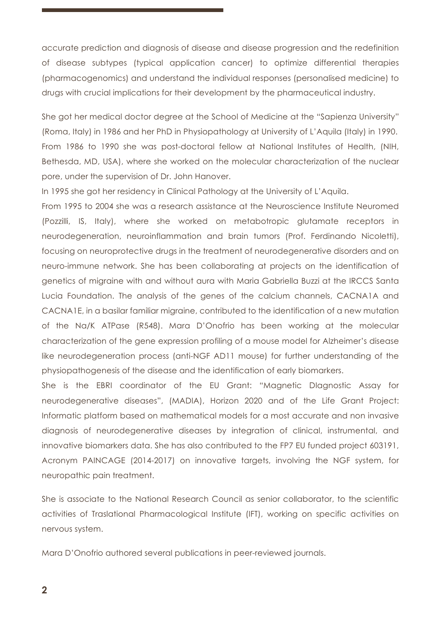accurate prediction and diagnosis of disease and disease progression and the redefinition of disease subtypes (typical application cancer) to optimize differential therapies (pharmacogenomics) and understand the individual responses (personalised medicine) to drugs with crucial implications for their development by the pharmaceutical industry.

She got her medical doctor degree at the School of Medicine at the "Sapienza University" (Roma, Italy) in 1986 and her PhD in Physiopathology at University of L'Aquila (Italy) in 1990. From 1986 to 1990 she was post-doctoral fellow at National Institutes of Health, (NIH, Bethesda, MD, USA), where she worked on the molecular characterization of the nuclear pore, under the supervision of Dr. John Hanover.

In 1995 she got her residency in Clinical Pathology at the University of L'Aquila.

From 1995 to 2004 she was a research assistance at the Neuroscience Institute Neuromed (Pozzilli, IS, Italy), where she worked on metabotropic glutamate receptors in neurodegeneration, neuroinflammation and brain tumors (Prof. Ferdinando Nicoletti), focusing on neuroprotective drugs in the treatment of neurodegenerative disorders and on neuro-immune network. She has been collaborating at projects on the identification of genetics of migraine with and without aura with Maria Gabriella Buzzi at the IRCCS Santa Lucia Foundation. The analysis of the genes of the calcium channels, CACNA1A and CACNA1E, in a basilar familiar migraine, contributed to the identification of a new mutation of the Na/K ATPase (R548). Mara D'Onofrio has been working at the molecular characterization of the gene expression profiling of a mouse model for Alzheimer's disease like neurodegeneration process (anti-NGF AD11 mouse) for further understanding of the physiopathogenesis of the disease and the identification of early biomarkers.

She is the EBRI coordinator of the EU Grant: "Magnetic DIagnostic Assay for neurodegenerative diseases", (MADIA), Horizon 2020 and of the Life Grant Project: Informatic platform based on mathematical models for a most accurate and non invasive diagnosis of neurodegenerative diseases by integration of clinical, instrumental, and innovative biomarkers data. She has also contributed to the FP7 EU funded project 603191, Acronym PAINCAGE (2014-2017) on innovative targets, involving the NGF system, for neuropathic pain treatment.

She is associate to the National Research Council as senior collaborator, to the scientific activities of Traslational Pharmacological Institute (IFT), working on specific activities on nervous system.

Mara D'Onofrio authored several publications in peer-reviewed journals.

**2**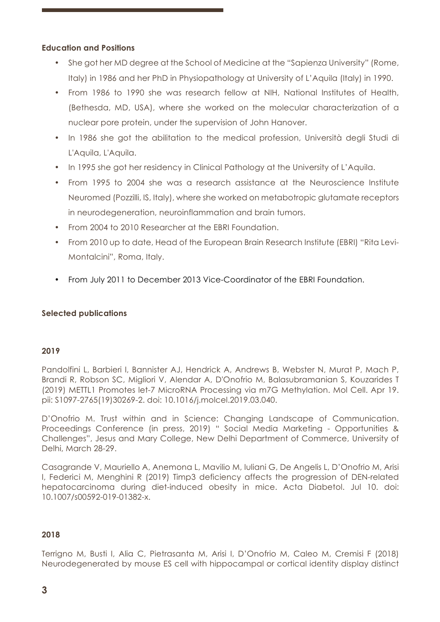#### **Education and Positions**

- She got her MD degree at the School of Medicine at the "Sapienza University" (Rome, Italy) in 1986 and her PhD in Physiopathology at University of L'Aquila (Italy) in 1990.
- From 1986 to 1990 she was research fellow at NIH, National Institutes of Health, (Bethesda, MD, USA), where she worked on the molecular characterization of a nuclear pore protein, under the supervision of John Hanover.
- In 1986 she got the abilitation to the medical profession, Università degli Studi di L'Aquila, L'Aquila.
- In 1995 she got her residency in Clinical Pathology at the University of L'Aquila.
- From 1995 to 2004 she was a research assistance at the Neuroscience Institute Neuromed (Pozzilli, IS, Italy), where she worked on metabotropic glutamate receptors in neurodegeneration, neuroinflammation and brain tumors.
- From 2004 to 2010 Researcher at the EBRI Foundation.
- From 2010 up to date, Head of the European Brain Research Institute (EBRI) "Rita Levi-Montalcini", Roma, Italy.
- From July 2011 to December 2013 Vice-Coordinator of the EBRI Foundation.

#### **Selected publications**

#### **2019**

Pandolfini L, Barbieri I, Bannister AJ, Hendrick A, Andrews B, Webster N, Murat P, Mach P, Brandi R, Robson SC, Migliori V, Alendar A, D'Onofrio M, Balasubramanian S, Kouzarides T (2019) METTL1 Promotes let-7 MicroRNA Processing via m7G Methylation. Mol Cell. Apr 19. pii: S1097-2765(19)30269-2. doi: 10.1016/j.molcel.2019.03.040.

D'Onofrio M. Trust within and in Science: Changing Landscape of Communication. Proceedings Conference (in press, 2019) " Social Media Marketing - Opportunities & Challenges", Jesus and Mary College, New Delhi Department of Commerce, University of Delhi, March 28-29.

Casagrande V, Mauriello A, Anemona L, Mavilio M, Iuliani G, De Angelis L, D'Onofrio M, Arisi I, Federici M, Menghini R (2019) Timp3 deficiency affects the progression of DEN-related hepatocarcinoma during diet-induced obesity in mice. Acta Diabetol. Jul 10. doi: 10.1007/s00592-019-01382-x.

#### **2018**

Terrigno M, Busti I, Alia C, Pietrasanta M, Arisi I, D'Onofrio M, Caleo M, Cremisi F (2018) Neurodegenerated by mouse ES cell with hippocampal or cortical identity display distinct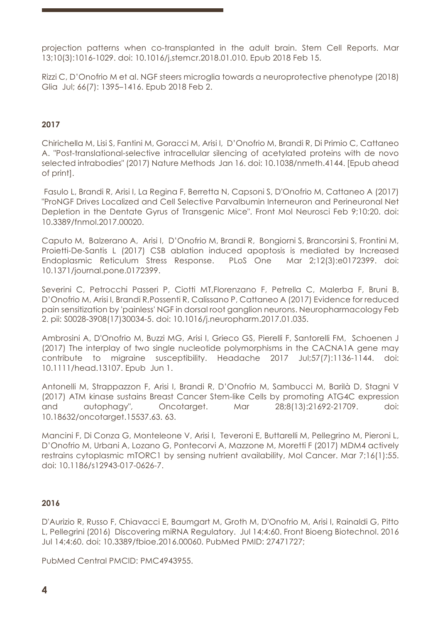projection patterns when co-transplanted in the adult brain. Stem Cell Reports. Mar 13;10(3):1016-1029. doi: 10.1016/j.stemcr.2018.01.010. Epub 2018 Feb 15.

Rizzi C, D'Onofrio M et al. NGF steers microglia towards a neuroprotective phenotype (2018) Glia Jul; 66(7): 1395–1416. Epub 2018 Feb 2.

#### **2017**

Chirichella M, Lisi S, Fantini M, Goracci M, Arisi I, D'Onofrio M, Brandi R, Di Primio C, Cattaneo A. "Post-translational-selective intracellular silencing of acetylated proteins with de novo selected intrabodies" (2017) Nature Methods Jan 16. doi: 10.1038/nmeth.4144. [Epub ahead of print].

Fasulo L, Brandi R, Arisi I, La Regina F, Berretta N, Capsoni S, D'Onofrio M, Cattaneo A (2017) "ProNGF Drives Localized and Cell Selective Parvalbumin Interneuron and Perineuronal Net Depletion in the Dentate Gyrus of Transgenic Mice". Front Mol Neurosci Feb 9;10:20. doi: 10.3389/fnmol.2017.00020.

Caputo M, Balzerano A, Arisi I, D'Onofrio M, Brandi R, Bongiorni S, Brancorsini S, Frontini M, Proietti-De-Santis L (2017) CSB ablation induced apoptosis is mediated by Increased Endoplasmic Reticulum Stress Response. PLoS One Mar 2;12(3):e0172399. doi: 10.1371/journal.pone.0172399.

Severini C, Petrocchi Passeri P, Ciotti MT,Florenzano F, Petrella C, Malerba F, Bruni B, D'Onofrio M, Arisi I, Brandi R,Possenti R, Calissano P, Cattaneo A (2017) Evidence for reduced pain sensitization by 'painless' NGF in dorsal root ganglion neurons. Neuropharmacology Feb 2. pii: S0028-3908(17)30034-5. doi: 10.1016/j.neuropharm.2017.01.035.

Ambrosini A, D'Onofrio M, Buzzi MG, Arisi I, Grieco GS, Pierelli F, Santorelli FM, Schoenen J (2017) The interplay of two single nucleotide polymorphisms in the CACNA1A gene may contribute to migraine susceptibility. Headache 2017 Jul;57(7):1136-1144. doi: 10.1111/head.13107. Epub Jun 1.

Antonelli M, Strappazzon F, Arisi I, Brandi R, D'Onofrio M, Sambucci M, Barilà D, Stagni V (2017) ATM kinase sustains Breast Cancer Stem-like Cells by promoting ATG4C expression and autophagy", Oncotarget. Mar 28;8(13):21692-21709. doi: 10.18632/oncotarget.15537.63. 63.

Mancini F, Di Conza G, Monteleone V, Arisi I, Teveroni E, Buttarelli M, Pellegrino M, Pieroni L, D'Onofrio M, Urbani A, Lozano G, Pontecorvi A, Mazzone M, Moretti F (2017) MDM4 actively restrains cytoplasmic mTORC1 by sensing nutrient availability, Mol Cancer. Mar 7;16(1):55. doi: 10.1186/s12943-017-0626-7.

#### **2016**

D'Aurizio R, Russo F, Chiavacci E, Baumgart M, Groth M, D'Onofrio M, Arisi I, Rainaldi G, Pitto L, Pellegrini (2016) Discovering miRNA Regulatory. Jul 14;4:60. Front Bioeng Biotechnol. 2016 Jul 14;4:60. doi: 10.3389/fbioe.2016.00060. PubMed PMID: 27471727;

PubMed Central PMCID: PMC4943955.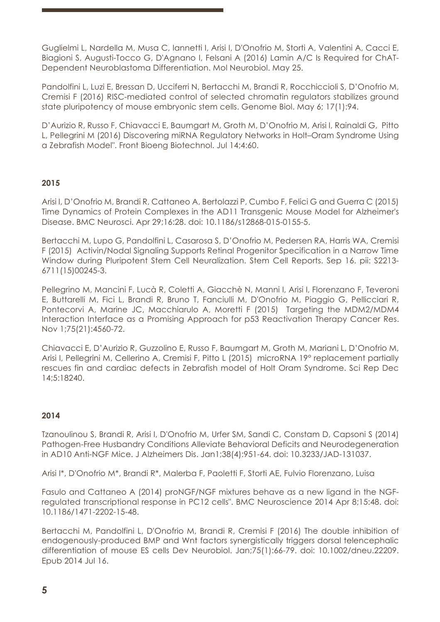Guglielmi L, Nardella M, Musa C, Iannetti I, Arisi I, D'Onofrio M, Storti A, Valentini A, Cacci E, Biagioni S, Augusti-Tocco G, D'Agnano I, Felsani A (2016) Lamin A/C Is Required for ChAT-Dependent Neuroblastoma Differentiation. Mol Neurobiol. May 25.

Pandolfini L, Luzi E, Bressan D, Ucciferri N, Bertacchi M, Brandi R, Rocchiccioli S, D'Onofrio M, Cremisi F (2016) RISC-mediated control of selected chromatin regulators stabilizes ground state pluripotency of mouse embryonic stem cells. Genome Biol. May 6; 17(1):94.

D'Aurizio R, Russo F, Chiavacci E, Baumgart M, Groth M, D'Onofrio M, Arisi I, Rainaldi G, Pitto L, Pellegrini M (2016) Discovering miRNA Regulatory Networks in Holt–Oram Syndrome Using a Zebrafish Model". Front Bioeng Biotechnol. Jul 14;4:60.

## **2015**

Arisi I, D'Onofrio M, Brandi R, Cattaneo A, Bertolazzi P, Cumbo F, Felici G and Guerra C (2015) Time Dynamics of Protein Complexes in the AD11 Transgenic Mouse Model for Alzheimer's Disease. BMC Neurosci. Apr 29;16:28. doi: 10.1186/s12868-015-0155-5.

Bertacchi M, Lupo G, Pandolfini L, Casarosa S, D'Onofrio M, Pedersen RA, Harris WA, Cremisi F (2015) Activin/Nodal Signaling Supports Retinal Progenitor Specification in a Narrow Time Window during Pluripotent Stem Cell Neuralization. Stem Cell Reports. Sep 16. pii: S2213- 6711(15)00245-3.

Pellegrino M, Mancini F, Lucà R, Coletti A, Giacchè N, Manni I, Arisi I, Florenzano F, Teveroni E, Buttarelli M, Fici L, Brandi R, Bruno T, Fanciulli M, D'Onofrio M, Piaggio G, Pellicciari R, Pontecorvi A, Marine JC, Macchiarulo A, Moretti F (2015) Targeting the MDM2/MDM4 Interaction Interface as a Promising Approach for p53 Reactivation Therapy Cancer Res. Nov 1;75(21):4560-72.

Chiavacci E, D'Aurizio R, Guzzolino E, Russo F, Baumgart M, Groth M, Mariani L, D'Onofrio M, Arisi I, Pellegrini M, Cellerino A, Cremisi F, Pitto L (2015) microRNA 19° replacement partially rescues fin and cardiac defects in Zebrafish model of Holt Oram Syndrome. Sci Rep Dec 14;5:18240.

## **2014**

Tzanoulinou S, Brandi R, Arisi I, D'Onofrio M, Urfer SM, Sandi C, Constam D, Capsoni S (2014) Pathogen-Free Husbandry Conditions Alleviate Behavioral Deficits and Neurodegeneration in AD10 Anti-NGF Mice. J Alzheimers Dis. Jan1;38(4):951-64. doi: 10.3233/JAD-131037.

Arisi I\*, D'Onofrio M\*, Brandi R\*, Malerba F, Paoletti F, Storti AE, Fulvio Florenzano, Luisa

Fasulo and Cattaneo A (2014) proNGF/NGF mixtures behave as a new ligand in the NGFregulated transcriptional response in PC12 cells". BMC Neuroscience 2014 Apr 8;15:48. doi: 10.1186/1471-2202-15-48.

Bertacchi M, Pandolfini L, D'Onofrio M, Brandi R, Cremisi F (2016) The double inhibition of endogenously-produced BMP and Wnt factors synergistically triggers dorsal telencephalic differentiation of mouse ES cells Dev Neurobiol. Jan;75(1):66-79. doi: 10.1002/dneu.22209. Epub 2014 Jul 16.